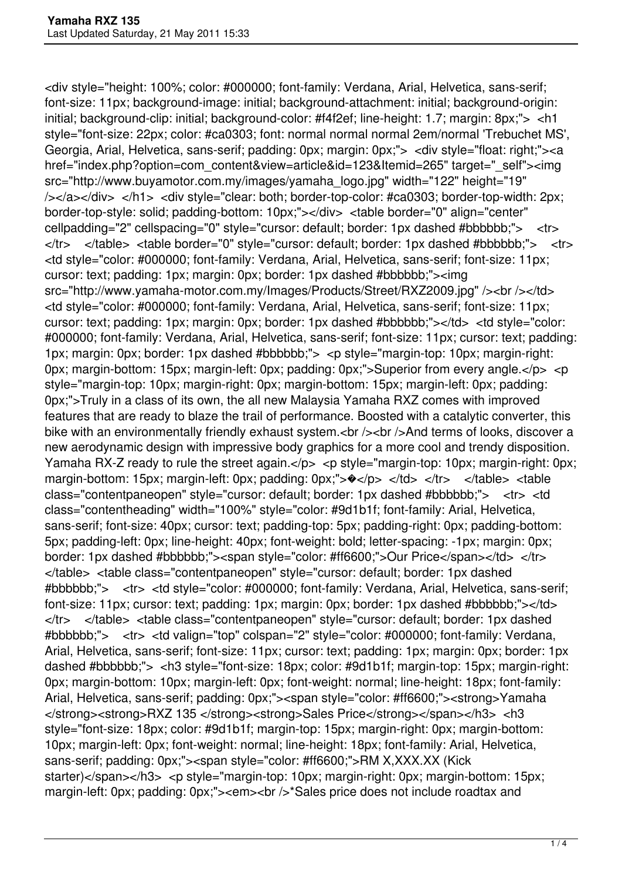<div style="height: 100%; color: #000000; font-family: Verdana, Arial, Helvetica, sans-serif; font-size: 11px; background-image: initial; background-attachment: initial; background-origin: initial; background-clip: initial; background-color: #f4f2ef; line-height: 1.7; margin: 8px;"> <h1 style="font-size: 22px; color: #ca0303; font: normal normal normal 2em/normal 'Trebuchet MS', Georgia, Arial, Helvetica, sans-serif; padding: 0px; margin: 0px;"> <div style="float: right;"><a href="index.php?option=com\_content&view=article&id=123&Itemid=265" target="\_self"><img src="http://www.buyamotor.com.my/images/yamaha\_logo.jpg" width="122" height="19" /></a></div> </h1> <div style="clear: both; border-top-color: #ca0303; border-top-width: 2px; border-top-style: solid; padding-bottom: 10px;"></div> <table border="0" align="center" cellpadding="2" cellspacing="0" style="cursor: default; border: 1px dashed #bbbbbb;"> <tr> </tr> </table> <table border="0" style="cursor: default; border: 1px dashed #bbbbbb;"> <tr> <td style="color: #000000; font-family: Verdana, Arial, Helvetica, sans-serif; font-size: 11px; cursor: text; padding: 1px; margin: 0px; border: 1px dashed #bbbbbb;"><img src="http://www.yamaha-motor.com.my/Images/Products/Street/RXZ2009.jpg" /><br />>/d> <td style="color: #000000; font-family: Verdana, Arial, Helvetica, sans-serif; font-size: 11px; cursor: text; padding: 1px; margin: 0px; border: 1px dashed #bbbbbb;"></td> <td style="color: #000000; font-family: Verdana, Arial, Helvetica, sans-serif; font-size: 11px; cursor: text; padding: 1px; margin: 0px; border: 1px dashed #bbbbbb;"> <p style="margin-top: 10px; margin-right: 0px; margin-bottom: 15px; margin-left: 0px; padding: 0px;">Superior from every angle.</p> <p style="margin-top: 10px; margin-right: 0px; margin-bottom: 15px; margin-left: 0px; padding: 0px;">Truly in a class of its own, the all new Malaysia Yamaha RXZ comes with improved features that are ready to blaze the trail of performance. Boosted with a catalytic converter, this bike with an environmentally friendly exhaust system.<br />>/>><br />>>/>And terms of looks, discover a new aerodynamic design with impressive body graphics for a more cool and trendy disposition. Yamaha RX-Z ready to rule the street again.</p> <p style="margin-top: 10px; margin-right: 0px; margin-bottom: 15px; margin-left: 0px; padding: 0px;"> $\rightarrow$ </td> </td> </tr> </table> <table class="contentpaneopen" style="cursor: default; border: 1px dashed #bbbbbb;"> <tr> <td class="contentheading" width="100%" style="color: #9d1b1f; font-family: Arial, Helvetica, sans-serif; font-size: 40px; cursor: text; padding-top: 5px; padding-right: 0px; padding-bottom: 5px; padding-left: 0px; line-height: 40px; font-weight: bold; letter-spacing: -1px; margin: 0px; border: 1px dashed #bbbbbb;"><span style="color: #ff6600;">Our Price</span></td> </tr> </table> <table class="contentpaneopen" style="cursor: default; border: 1px dashed #bbbbbb;"> <tr> <td style="color: #000000; font-family: Verdana, Arial, Helvetica, sans-serif; font-size: 11px; cursor: text; padding: 1px; margin: 0px; border: 1px dashed #bbbbbb;"></td> </tr> </table> <table class="contentpaneopen" style="cursor: default; border: 1px dashed #bbbbbb;"> <tr> <td valign="top" colspan="2" style="color: #000000; font-family: Verdana, Arial, Helvetica, sans-serif; font-size: 11px; cursor: text; padding: 1px; margin: 0px; border: 1px dashed #bbbbbb;"> <h3 style="font-size: 18px; color: #9d1b1f; margin-top: 15px; margin-right: 0px; margin-bottom: 10px; margin-left: 0px; font-weight: normal; line-height: 18px; font-family: Arial, Helvetica, sans-serif; padding: 0px;"><span style="color: #ff6600;"><strong>Yamaha </strong><strong>RXZ 135 </strong><strong>Sales Price</strong></span></h3> <h3 style="font-size: 18px; color: #9d1b1f; margin-top: 15px; margin-right: 0px; margin-bottom: 10px; margin-left: 0px; font-weight: normal; line-height: 18px; font-family: Arial, Helvetica, sans-serif; padding: 0px;"><span style="color: #ff6600;">RM X,XXX.XX (Kick starter)</span></h3> <p style="margin-top: 10px; margin-right: 0px; margin-bottom: 15px; margin-left: 0px; padding: 0px;"><em><br />br <a></a>Sales price does not include roadtax and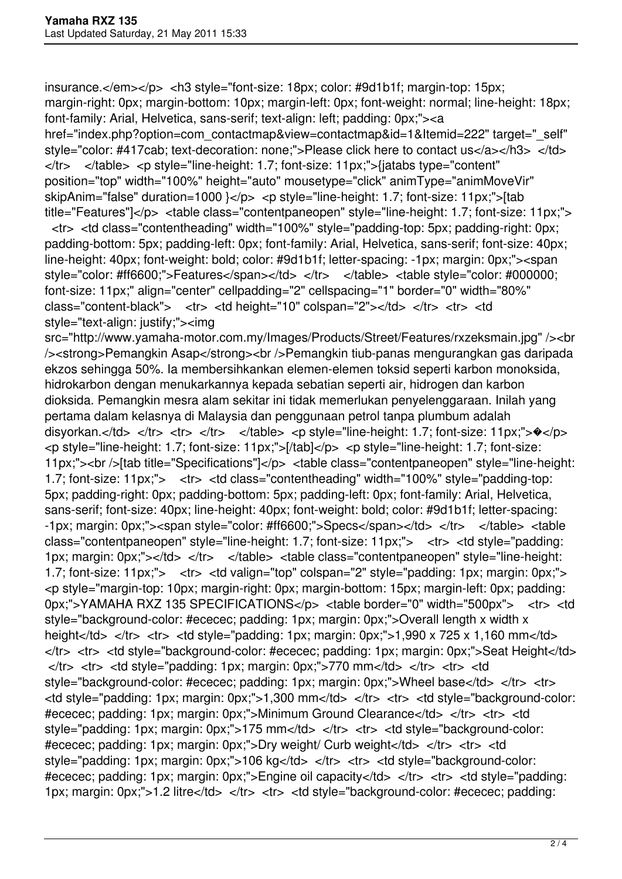insurance.</em></p> <h3 style="font-size: 18px; color: #9d1b1f; margin-top: 15px; margin-right: 0px; margin-bottom: 10px; margin-left: 0px; font-weight: normal; line-height: 18px; font-family: Arial, Helvetica, sans-serif; text-align: left; padding: 0px;"><a href="index.php?option=com\_contactmap&view=contactmap&id=1&Itemid=222" target="\_self" style="color: #417cab; text-decoration: none;">Please click here to contact us</a></h3> </td> </tr> </table> <p style="line-height: 1.7; font-size: 11px;">{jatabs type="content" position="top" width="100%" height="auto" mousetype="click" animType="animMoveVir" skipAnim="false" duration=1000 }</p> <p style="line-height: 1.7; font-size: 11px;">[tab title="Features"]</p> <table class="contentpaneopen" style="line-height: 1.7; font-size: 11px;">

 <tr> <td class="contentheading" width="100%" style="padding-top: 5px; padding-right: 0px; padding-bottom: 5px; padding-left: 0px; font-family: Arial, Helvetica, sans-serif; font-size: 40px; line-height: 40px; font-weight: bold; color: #9d1b1f; letter-spacing: -1px; margin: 0px;"><span style="color: #ff6600;">Features</span></td> </tr> </table> <table style="color: #000000; font-size: 11px;" align="center" cellpadding="2" cellspacing="1" border="0" width="80%" class="content-black"> <tr> <td height="10" colspan="2"></td> </tr> <tr> <td style="text-align: justify;"><img

src="http://www.yamaha-motor.com.my/Images/Products/Street/Features/rxzeksmain.jpg" /><br /><strong>Pemangkin Asap</strong><br />Pemangkin tiub-panas mengurangkan gas daripada ekzos sehingga 50%. Ia membersihkankan elemen-elemen toksid seperti karbon monoksida, hidrokarbon dengan menukarkannya kepada sebatian seperti air, hidrogen dan karbon dioksida. Pemangkin mesra alam sekitar ini tidak memerlukan penyelenggaraan. Inilah yang pertama dalam kelasnya di Malaysia dan penggunaan petrol tanpa plumbum adalah disyorkan.</td> </tr> <tr> </tr> </tr> </table> <p style="line-height: 1.7; font-size: 11px;"> $\rightarrow \rightarrow$ </p> <p style="line-height: 1.7; font-size: 11px;">[/tab]</p> <p style="line-height: 1.7; font-size: 11px;"><br />[tab title="Specifications"]</p> <table class="contentpaneopen" style="line-height: 1.7; font-size: 11px;"> <tr> <td class="contentheading" width="100%" style="padding-top: 5px; padding-right: 0px; padding-bottom: 5px; padding-left: 0px; font-family: Arial, Helvetica, sans-serif; font-size: 40px; line-height: 40px; font-weight: bold; color: #9d1b1f; letter-spacing: -1px; margin: 0px;"><span style="color: #ff6600;">Specs</span></td> </tr> </table> <table class="contentpaneopen" style="line-height: 1.7; font-size: 11px;"> <tr> <td style="padding: 1px; margin: 0px;"></td> </tr> </table> <table class="contentpaneopen" style="line-height: 1.7; font-size: 11px;"> <tr> <td valign="top" colspan="2" style="padding: 1px; margin: 0px;"> <p style="margin-top: 10px; margin-right: 0px; margin-bottom: 15px; margin-left: 0px; padding: 0px;">YAMAHA RXZ 135 SPECIFICATIONS</p> <table border="0" width="500px"> <tr> <td style="background-color: #ececec; padding: 1px; margin: 0px;">Overall length x width x height</td> </tr> <tr> <td style="padding: 1px; margin: 0px;">1,990 x 725 x 1,160 mm</td> </tr> <tr> <td style="background-color: #ececec; padding: 1px; margin: 0px;">Seat Height</td>  $\langle t \rangle$  <tr> <td style="padding: 1px; margin: 0px;">770 mm</td> </tr> <tr> <td style="background-color: #ececec; padding: 1px; margin: 0px;">Wheel base</td> </tr> <tr> <td style="padding: 1px; margin: 0px;">1,300 mm</td> </tr> <tr> <td style="background-color: #ececec; padding: 1px; margin: 0px;">Minimum Ground Clearance</td> </tr> <tr> <td style="padding: 1px; margin: 0px;">175 mm</td> </tr> <tr> <td style="background-color: #ececec; padding: 1px; margin: 0px;">Dry weight/ Curb weight</td> </tr> <tr> <td style="padding: 1px; margin: 0px;">106 kg</td> </tr> <tr> <td style="background-color; #ececec; padding: 1px; margin: 0px;">Engine oil capacity</td> </tr> <tr> <td style="padding: 1px; margin: 0px;">1.2 litre</td> </tr> <tr> <td style="background-color: #ececec; padding: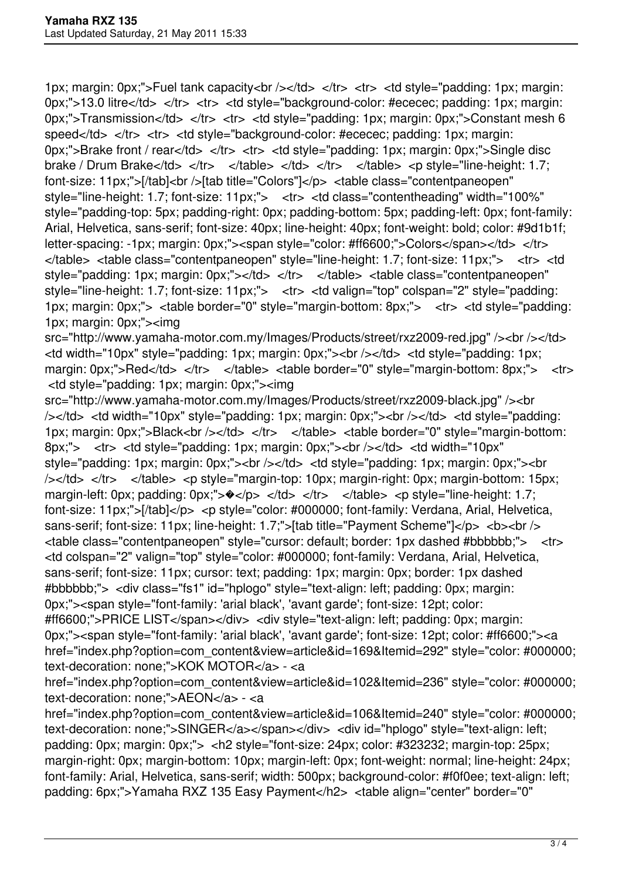1px; margin: 0px;">Fuel tank capacity<br />> /> /> </td> </tr> <td style="padding: 1px; margin: 0px;">13.0 litre</td> </tr> <tr> <td style="background-color: #ececec; padding: 1px; margin: 0px;">Transmission</td> </tr> <tr> <td style="padding: 1px; margin: 0px;">Constant mesh 6 speed</td> </tr> <tr> <td style="background-color: #ececec; padding: 1px; margin: 0px;">Brake front / rear</td> </tr> <tr> <td style="padding: 1px; margin: 0px;">Single disc brake / Drum Brake</td> </tr> </table> </td> </td> </tr> </table> <p style="line-height: 1.7; font-size: 11px;">[/tab]<br />[tab title="Colors"]</p> <table class="contentpaneopen" style="line-height: 1.7; font-size: 11px;"> <tr> <td class="contentheading" width="100%" style="padding-top: 5px; padding-right: 0px; padding-bottom: 5px; padding-left: 0px; font-family: Arial, Helvetica, sans-serif; font-size: 40px; line-height: 40px; font-weight: bold; color: #9d1b1f; letter-spacing: -1px; margin: 0px;"><span style="color: #ff6600;">Colors</span></td> </tr> </table> <table class="contentpaneopen" style="line-height: 1.7; font-size: 11px;"> <tr> <td style="padding: 1px; margin: 0px;"></td> </tr> </table> <table class="contentpaneopen" style="line-height: 1.7; font-size: 11px;"> <tr> <td valign="top" colspan="2" style="padding: 1px; margin: 0px;"> <table border="0" style="margin-bottom: 8px;"> <tr> <td style="padding: 1px; margin: 0px;"><img

src="http://www.yamaha-motor.com.my/Images/Products/street/rxz2009-red.jpg" /><br />>/td> <td width="10px" style="padding: 1px; margin: 0px;"><br /></td> <td style="padding: 1px; margin: 0px;">Red</td> </tr> </table> <table border="0" style="margin-bottom: 8px;"> <tr> <td style="padding: 1px; margin: 0px;"><img

src="http://www.yamaha-motor.com.my/Images/Products/street/rxz2009-black.jpg" /> < br /></td> <td width="10px" style="padding: 1px; margin: 0px;"><br /></td> <td style="padding: 1px; margin: 0px;">Black<br /></td> </tr> </table> <table border="0" style="margin-bottom: 8px;"> <tr> <td style="padding: 1px; margin: 0px;"><br />>/>></td> <td width="10px" style="padding: 1px; margin: 0px;"><br />>/>></td> <td style="padding: 1px; margin: 0px;"><br /></td> </tr> </table> <p style="margin-top: 10px; margin-right: 0px; margin-bottom: 15px; margin-left: 0px; padding: 0px;"> $\rightarrow$ </p> </td> </tr> </table> <p style="line-height: 1.7; font-size: 11px;">[/tab]</p> <p style="color: #000000; font-family: Verdana, Arial, Helvetica, sans-serif; font-size: 11px; line-height: 1.7;">[tab title="Payment Scheme"]</p> <br/>b>>>>> <br/>t/> <table class="contentpaneopen" style="cursor: default; border: 1px dashed #bbbbbb;"> <tr> <td colspan="2" valign="top" style="color: #000000; font-family: Verdana, Arial, Helvetica, sans-serif; font-size: 11px; cursor: text; padding: 1px; margin: 0px; border: 1px dashed #bbbbbb;"> <div class="fs1" id="hplogo" style="text-align: left; padding: 0px; margin: 0px;"><span style="font-family: 'arial black', 'avant garde'; font-size: 12pt; color: #ff6600;">PRICE LIST</span></div> <div style="text-align: left; padding: 0px; margin: 0px;"><span style="font-family: 'arial black', 'avant garde'; font-size: 12pt; color: #ff6600;"><a href="index.php?option=com\_content&view=article&id=169&Itemid=292" style="color: #000000;

text-decoration: none;">KOK MOTOR</a> - <a

href="index.php?option=com\_content&view=article&id=102&Itemid=236" style="color: #000000; text-decoration: none;">AEON</a> - <a

href="index.php?option=com\_content&view=article&id=106&Itemid=240" style="color: #000000; text-decoration: none:">SINGER</a></span></div> <div id="hplogo" style="text-align: left; padding: 0px; margin: 0px;"> <h2 style="font-size: 24px; color: #323232; margin-top: 25px; margin-right: 0px; margin-bottom: 10px; margin-left: 0px; font-weight: normal; line-height: 24px; font-family: Arial, Helvetica, sans-serif; width: 500px; background-color: #f0f0ee; text-align: left; padding: 6px;">Yamaha RXZ 135 Easy Payment</h2> <table align="center" border="0"